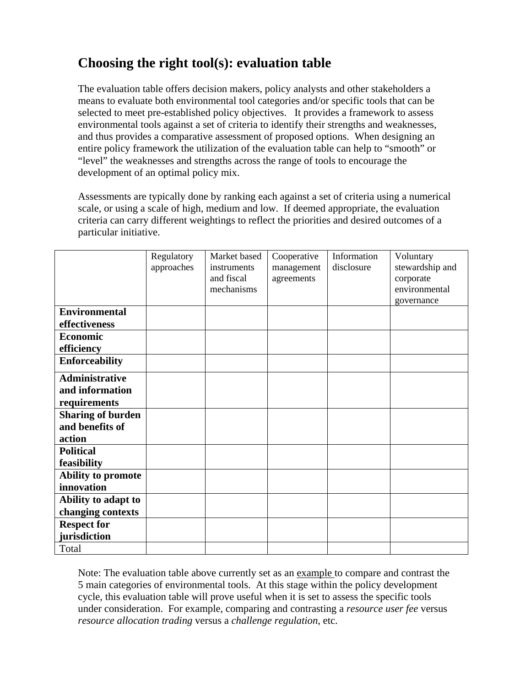# **Choosing the right tool(s): evaluation table**

The evaluation table offers decision makers, policy analysts and other stakeholders a means to evaluate both environmental tool categories and/or specific tools that can be selected to meet pre-established policy objectives. It provides a framework to assess environmental tools against a set of criteria to identify their strengths and weaknesses, and thus provides a comparative assessment of proposed options. When designing an entire policy framework the utilization of the evaluation table can help to "smooth" or "level" the weaknesses and strengths across the range of tools to encourage the development of an optimal policy mix.

Assessments are typically done by ranking each against a set of criteria using a numerical scale, or using a scale of high, medium and low. If deemed appropriate, the evaluation criteria can carry different weightings to reflect the priorities and desired outcomes of a particular initiative.

|                          | Regulatory | Market based | Cooperative | Information | Voluntary       |
|--------------------------|------------|--------------|-------------|-------------|-----------------|
|                          | approaches | instruments  | management  | disclosure  | stewardship and |
|                          |            | and fiscal   | agreements  |             | corporate       |
|                          |            | mechanisms   |             |             | environmental   |
|                          |            |              |             |             | governance      |
| <b>Environmental</b>     |            |              |             |             |                 |
| effectiveness            |            |              |             |             |                 |
| <b>Economic</b>          |            |              |             |             |                 |
| efficiency               |            |              |             |             |                 |
| <b>Enforceability</b>    |            |              |             |             |                 |
| <b>Administrative</b>    |            |              |             |             |                 |
| and information          |            |              |             |             |                 |
| requirements             |            |              |             |             |                 |
| <b>Sharing of burden</b> |            |              |             |             |                 |
| and benefits of          |            |              |             |             |                 |
| action                   |            |              |             |             |                 |
| <b>Political</b>         |            |              |             |             |                 |
| feasibility              |            |              |             |             |                 |
| Ability to promote       |            |              |             |             |                 |
| innovation               |            |              |             |             |                 |
| Ability to adapt to      |            |              |             |             |                 |
| changing contexts        |            |              |             |             |                 |
| <b>Respect for</b>       |            |              |             |             |                 |
| jurisdiction             |            |              |             |             |                 |
| Total                    |            |              |             |             |                 |

Note: The evaluation table above currently set as an example to compare and contrast the 5 main categories of environmental tools. At this stage within the policy development cycle, this evaluation table will prove useful when it is set to assess the specific tools under consideration. For example, comparing and contrasting a *resource user fee* versus *resource allocation trading* versus a *challenge regulation*, etc.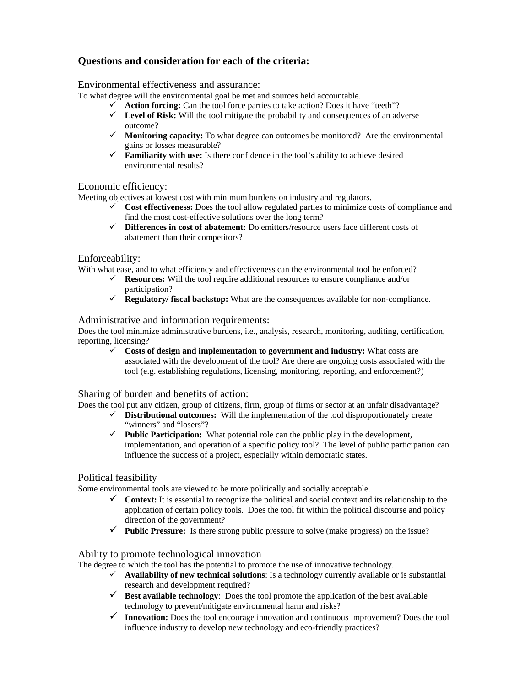## **Questions and consideration for each of the criteria:**

Environmental effectiveness and assurance:

To what degree will the environmental goal be met and sources held accountable.

- 9 **Action forcing:** Can the tool force parties to take action? Does it have "teeth"?
- $\checkmark$  Level of Risk: Will the tool mitigate the probability and consequences of an adverse outcome?
- $\checkmark$  **Monitoring capacity:** To what degree can outcomes be monitored? Are the environmental gains or losses measurable?
- $\checkmark$  **Familiarity with use:** Is there confidence in the tool's ability to achieve desired environmental results?

### Economic efficiency:

Meeting objectives at lowest cost with minimum burdens on industry and regulators.

- $\checkmark$  Cost effectiveness: Does the tool allow regulated parties to minimize costs of compliance and find the most cost-effective solutions over the long term?
- 9 **Differences in cost of abatement:** Do emitters/resource users face different costs of abatement than their competitors?

#### Enforceability:

With what ease, and to what efficiency and effectiveness can the environmental tool be enforced?

- $\checkmark$  **Resources:** Will the tool require additional resources to ensure compliance and/or participation?
- 9 **Regulatory/ fiscal backstop:** What are the consequences available for non-compliance.

#### Administrative and information requirements:

Does the tool minimize administrative burdens, i.e., analysis, research, monitoring, auditing, certification, reporting, licensing?

 $\checkmark$  Costs of design and implementation to government and industry: What costs are associated with the development of the tool? Are there are ongoing costs associated with the tool (e.g. establishing regulations, licensing, monitoring, reporting, and enforcement?)

#### Sharing of burden and benefits of action:

Does the tool put any citizen, group of citizens, firm, group of firms or sector at an unfair disadvantage?

- $\checkmark$  **Distributional outcomes:** Will the implementation of the tool disproportionately create "winners" and "losers"?
- 9 **Public Participation:** What potential role can the public play in the development, implementation, and operation of a specific policy tool? The level of public participation can influence the success of a project, especially within democratic states.

#### Political feasibility

Some environmental tools are viewed to be more politically and socially acceptable.

- $\checkmark$  Context: It is essential to recognize the political and social context and its relationship to the application of certain policy tools. Does the tool fit within the political discourse and policy direction of the government?
- $\checkmark$  Public Pressure: Is there strong public pressure to solve (make progress) on the issue?

#### Ability to promote technological innovation

The degree to which the tool has the potential to promote the use of innovative technology.

- $\checkmark$  **Availability of new technical solutions**: Is a technology currently available or is substantial research and development required?
- $\checkmark$  Best available technology: Does the tool promote the application of the best available technology to prevent/mitigate environmental harm and risks?
- 9 **Innovation:** Does the tool encourage innovation and continuous improvement? Does the tool influence industry to develop new technology and eco-friendly practices?